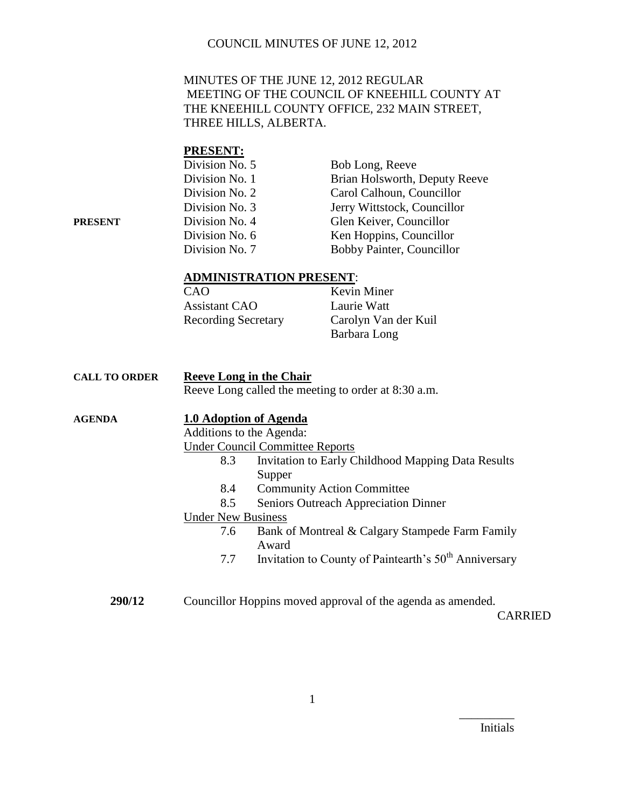#### MINUTES OF THE JUNE 12, 2012 REGULAR MEETING OF THE COUNCIL OF KNEEHILL COUNTY AT THE KNEEHILL COUNTY OFFICE, 232 MAIN STREET, THREE HILLS, ALBERTA.

# **PRESENT:**

| Division No. 5 | Bob Long, Reeve               |
|----------------|-------------------------------|
| Division No. 1 | Brian Holsworth, Deputy Reeve |
| Division No. 2 | Carol Calhoun, Councillor     |
| Division No. 3 | Jerry Wittstock, Councillor   |
| Division No. 4 | Glen Keiver, Councillor       |
| Division No. 6 | Ken Hoppins, Councillor       |
| Division No. 7 | Bobby Painter, Councillor     |
|                |                               |

#### **ADMINISTRATION PRESENT**:

| CAO                        | Kevin Miner          |
|----------------------------|----------------------|
| <b>Assistant CAO</b>       | Laurie Watt          |
| <b>Recording Secretary</b> | Carolyn Van der Kuil |
|                            | Barbara Long         |

| <b>CALL TO ORDER</b> | <b>Reeve Long in the Chair</b> |                                                                   |
|----------------------|--------------------------------|-------------------------------------------------------------------|
|                      |                                | Reeve Long called the meeting to order at 8:30 a.m.               |
| <b>AGENDA</b>        |                                | 1.0 Adoption of Agenda                                            |
|                      | Additions to the Agenda:       |                                                                   |
|                      |                                | <b>Under Council Committee Reports</b>                            |
|                      | 8.3                            | <b>Invitation to Early Childhood Mapping Data Results</b>         |
|                      |                                | Supper                                                            |
|                      | 8.4                            | <b>Community Action Committee</b>                                 |
|                      | 8.5                            | Seniors Outreach Appreciation Dinner                              |
|                      | <b>Under New Business</b>      |                                                                   |
|                      | 7.6                            | Bank of Montreal & Calgary Stampede Farm Family                   |
|                      |                                | Award                                                             |
|                      | 7.7                            | Invitation to County of Paintearth's 50 <sup>th</sup> Anniversary |
|                      |                                |                                                                   |
| 290/12               |                                | Councillor Hoppins moved approval of the agenda as amended.       |

CARRIED

Initials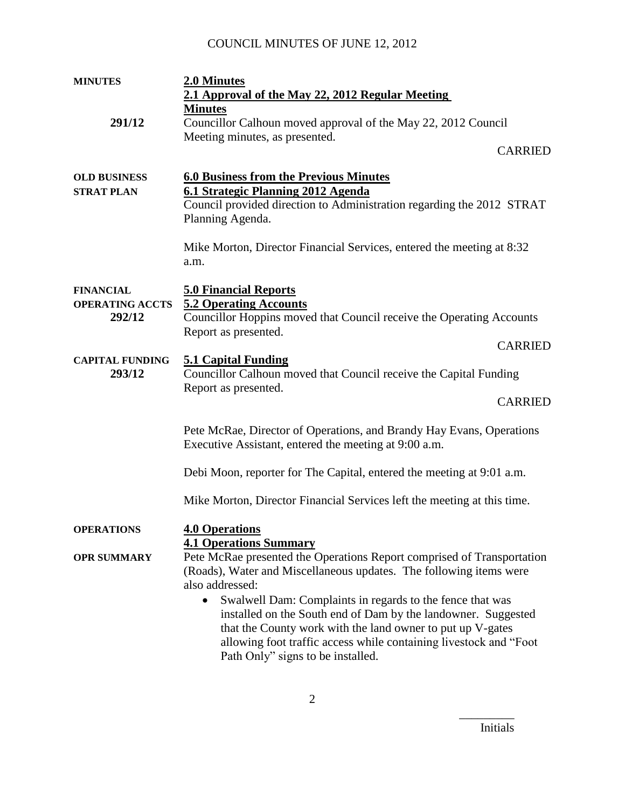| <b>MINUTES</b>                                       | 2.0 Minutes                                                                                                                                                                                                                                                                                                                                                                                                                                                           |
|------------------------------------------------------|-----------------------------------------------------------------------------------------------------------------------------------------------------------------------------------------------------------------------------------------------------------------------------------------------------------------------------------------------------------------------------------------------------------------------------------------------------------------------|
|                                                      | 2.1 Approval of the May 22, 2012 Regular Meeting                                                                                                                                                                                                                                                                                                                                                                                                                      |
|                                                      | <b>Minutes</b>                                                                                                                                                                                                                                                                                                                                                                                                                                                        |
| 291/12                                               | Councillor Calhoun moved approval of the May 22, 2012 Council                                                                                                                                                                                                                                                                                                                                                                                                         |
|                                                      | Meeting minutes, as presented.<br><b>CARRIED</b>                                                                                                                                                                                                                                                                                                                                                                                                                      |
| <b>OLD BUSINESS</b><br><b>STRAT PLAN</b>             | <b>6.0 Business from the Previous Minutes</b><br>6.1 Strategic Planning 2012 Agenda<br>Council provided direction to Administration regarding the 2012 STRAT<br>Planning Agenda.                                                                                                                                                                                                                                                                                      |
|                                                      | Mike Morton, Director Financial Services, entered the meeting at 8:32<br>a.m.                                                                                                                                                                                                                                                                                                                                                                                         |
| <b>FINANCIAL</b><br><b>OPERATING ACCTS</b><br>292/12 | <b>5.0 Financial Reports</b><br><b>5.2 Operating Accounts</b><br>Councillor Hoppins moved that Council receive the Operating Accounts<br>Report as presented.                                                                                                                                                                                                                                                                                                         |
|                                                      | <b>CARRIED</b>                                                                                                                                                                                                                                                                                                                                                                                                                                                        |
| <b>CAPITAL FUNDING</b><br>293/12                     | <b>5.1 Capital Funding</b><br>Councillor Calhoun moved that Council receive the Capital Funding<br>Report as presented.                                                                                                                                                                                                                                                                                                                                               |
|                                                      | <b>CARRIED</b>                                                                                                                                                                                                                                                                                                                                                                                                                                                        |
|                                                      | Pete McRae, Director of Operations, and Brandy Hay Evans, Operations<br>Executive Assistant, entered the meeting at 9:00 a.m.                                                                                                                                                                                                                                                                                                                                         |
|                                                      | Debi Moon, reporter for The Capital, entered the meeting at 9:01 a.m.                                                                                                                                                                                                                                                                                                                                                                                                 |
|                                                      | Mike Morton, Director Financial Services left the meeting at this time.                                                                                                                                                                                                                                                                                                                                                                                               |
| <b>OPERATIONS</b>                                    | <b>4.0 Operations</b><br><b>4.1 Operations Summary</b>                                                                                                                                                                                                                                                                                                                                                                                                                |
| <b>OPR SUMMARY</b>                                   | Pete McRae presented the Operations Report comprised of Transportation<br>(Roads), Water and Miscellaneous updates. The following items were<br>also addressed:<br>Swalwell Dam: Complaints in regards to the fence that was<br>installed on the South end of Dam by the landowner. Suggested<br>that the County work with the land owner to put up V-gates<br>allowing foot traffic access while containing livestock and "Foot<br>Path Only" signs to be installed. |

Initials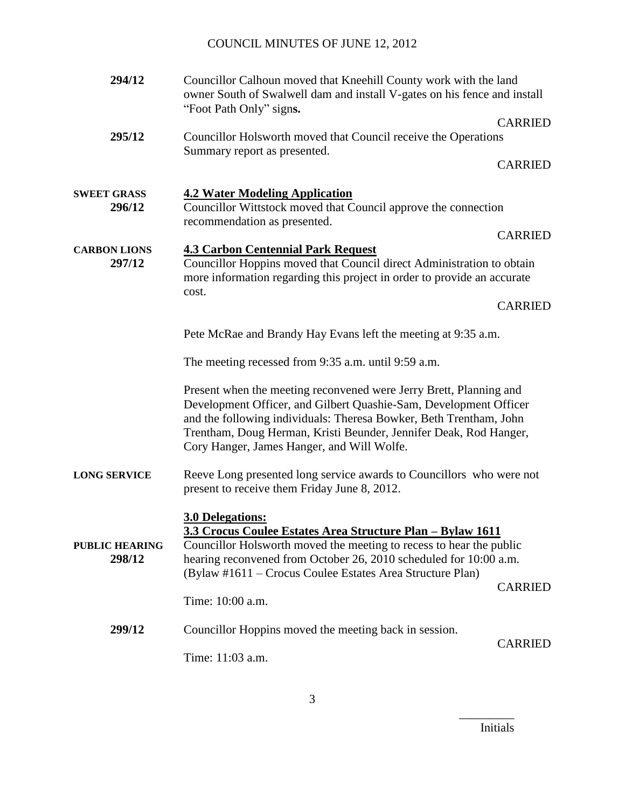| 294/12                          | Councillor Calhoun moved that Kneehill County work with the land<br>owner South of Swalwell dam and install V-gates on his fence and install<br>"Foot Path Only" signs.                                                                                                                                                          |                                  |
|---------------------------------|----------------------------------------------------------------------------------------------------------------------------------------------------------------------------------------------------------------------------------------------------------------------------------------------------------------------------------|----------------------------------|
| 295/12                          | Councillor Holsworth moved that Council receive the Operations<br>Summary report as presented.                                                                                                                                                                                                                                   | <b>CARRIED</b><br><b>CARRIED</b> |
| <b>SWEET GRASS</b><br>296/12    | <b>4.2 Water Modeling Application</b><br>Councillor Wittstock moved that Council approve the connection<br>recommendation as presented.                                                                                                                                                                                          |                                  |
| <b>CARBON LIONS</b><br>297/12   | <b>4.3 Carbon Centennial Park Request</b><br>Councillor Hoppins moved that Council direct Administration to obtain<br>more information regarding this project in order to provide an accurate                                                                                                                                    | <b>CARRIED</b>                   |
|                                 | cost.                                                                                                                                                                                                                                                                                                                            | <b>CARRIED</b>                   |
|                                 | Pete McRae and Brandy Hay Evans left the meeting at 9:35 a.m.                                                                                                                                                                                                                                                                    |                                  |
|                                 | The meeting recessed from 9:35 a.m. until 9:59 a.m.                                                                                                                                                                                                                                                                              |                                  |
|                                 | Present when the meeting reconvened were Jerry Brett, Planning and<br>Development Officer, and Gilbert Quashie-Sam, Development Officer<br>and the following individuals: Theresa Bowker, Beth Trentham, John<br>Trentham, Doug Herman, Kristi Beunder, Jennifer Deak, Rod Hanger,<br>Cory Hanger, James Hanger, and Will Wolfe. |                                  |
| <b>LONG SERVICE</b>             | Reeve Long presented long service awards to Councillors who were not<br>present to receive them Friday June 8, 2012.                                                                                                                                                                                                             |                                  |
| <b>PUBLIC HEARING</b><br>298/12 | <b>3.0 Delegations:</b><br>3.3 Crocus Coulee Estates Area Structure Plan - Bylaw 1611<br>Councillor Holsworth moved the meeting to recess to hear the public<br>hearing reconvened from October 26, 2010 scheduled for 10:00 a.m.<br>(Bylaw #1611 – Crocus Coulee Estates Area Structure Plan)<br>Time: 10:00 a.m.               | <b>CARRIED</b>                   |
| 299/12                          | Councillor Hoppins moved the meeting back in session.<br>Time: 11:03 a.m.                                                                                                                                                                                                                                                        | <b>CARRIED</b>                   |

Initials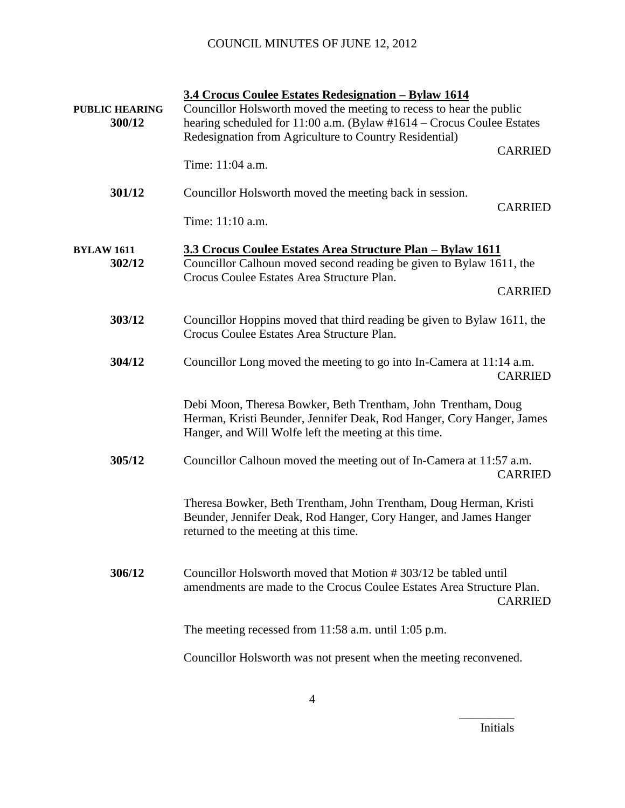| <b>PUBLIC HEARING</b><br>300/12 | 3.4 Crocus Coulee Estates Redesignation - Bylaw 1614<br>Councillor Holsworth moved the meeting to recess to hear the public<br>hearing scheduled for 11:00 a.m. (Bylaw #1614 - Crocus Coulee Estates<br>Redesignation from Agriculture to Country Residential) | <b>CARRIED</b> |
|---------------------------------|----------------------------------------------------------------------------------------------------------------------------------------------------------------------------------------------------------------------------------------------------------------|----------------|
|                                 | Time: 11:04 a.m.                                                                                                                                                                                                                                               |                |
| 301/12                          | Councillor Holsworth moved the meeting back in session.                                                                                                                                                                                                        | <b>CARRIED</b> |
|                                 | Time: 11:10 a.m.                                                                                                                                                                                                                                               |                |
| <b>BYLAW 1611</b><br>302/12     | 3.3 Crocus Coulee Estates Area Structure Plan - Bylaw 1611<br>Councillor Calhoun moved second reading be given to Bylaw 1611, the<br>Crocus Coulee Estates Area Structure Plan.                                                                                |                |
|                                 |                                                                                                                                                                                                                                                                | <b>CARRIED</b> |
| 303/12                          | Councillor Hoppins moved that third reading be given to Bylaw 1611, the<br>Crocus Coulee Estates Area Structure Plan.                                                                                                                                          |                |
| 304/12                          | Councillor Long moved the meeting to go into In-Camera at 11:14 a.m.                                                                                                                                                                                           | <b>CARRIED</b> |
|                                 | Debi Moon, Theresa Bowker, Beth Trentham, John Trentham, Doug<br>Herman, Kristi Beunder, Jennifer Deak, Rod Hanger, Cory Hanger, James<br>Hanger, and Will Wolfe left the meeting at this time.                                                                |                |
| 305/12                          | Councillor Calhoun moved the meeting out of In-Camera at 11:57 a.m.                                                                                                                                                                                            | <b>CARRIED</b> |
|                                 | Theresa Bowker, Beth Trentham, John Trentham, Doug Herman, Kristi<br>Beunder, Jennifer Deak, Rod Hanger, Cory Hanger, and James Hanger<br>returned to the meeting at this time.                                                                                |                |
| 306/12                          | Councillor Holsworth moved that Motion #303/12 be tabled until<br>amendments are made to the Crocus Coulee Estates Area Structure Plan.                                                                                                                        | <b>CARRIED</b> |
|                                 | The meeting recessed from $11:58$ a.m. until $1:05$ p.m.                                                                                                                                                                                                       |                |
|                                 | Councillor Holsworth was not present when the meeting reconvened.                                                                                                                                                                                              |                |

Initials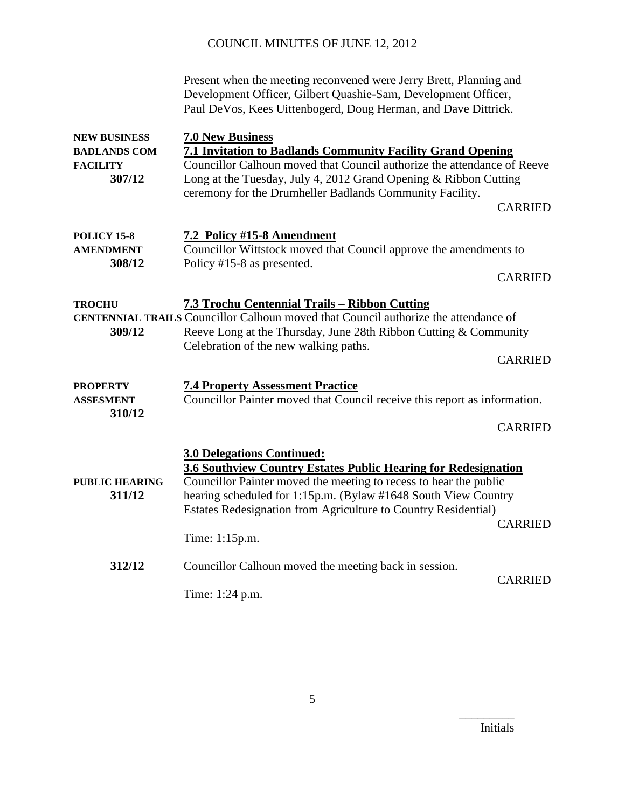|                                                                         | Present when the meeting reconvened were Jerry Brett, Planning and<br>Development Officer, Gilbert Quashie-Sam, Development Officer,<br>Paul DeVos, Kees Uittenbogerd, Doug Herman, and Dave Dittrick.                                                                                                                                           |  |
|-------------------------------------------------------------------------|--------------------------------------------------------------------------------------------------------------------------------------------------------------------------------------------------------------------------------------------------------------------------------------------------------------------------------------------------|--|
| <b>NEW BUSINESS</b><br><b>BADLANDS COM</b><br><b>FACILITY</b><br>307/12 | <b>7.0 New Business</b><br><b>7.1 Invitation to Badlands Community Facility Grand Opening</b><br>Councillor Calhoun moved that Council authorize the attendance of Reeve<br>Long at the Tuesday, July 4, 2012 Grand Opening & Ribbon Cutting<br>ceremony for the Drumheller Badlands Community Facility.<br><b>CARRIED</b>                       |  |
| <b>POLICY 15-8</b><br><b>AMENDMENT</b><br>308/12                        | 7.2 Policy #15-8 Amendment<br>Councillor Wittstock moved that Council approve the amendments to<br>Policy #15-8 as presented.<br><b>CARRIED</b>                                                                                                                                                                                                  |  |
| <b>TROCHU</b><br>309/12                                                 | <b>7.3 Trochu Centennial Trails – Ribbon Cutting</b><br><b>CENTENNIAL TRAILS Councillor Calhoun moved that Council authorize the attendance of</b><br>Reeve Long at the Thursday, June 28th Ribbon Cutting & Community<br>Celebration of the new walking paths.<br><b>CARRIED</b>                                                                |  |
| <b>PROPERTY</b><br><b>ASSESMENT</b><br>310/12                           | <b>7.4 Property Assessment Practice</b><br>Councillor Painter moved that Council receive this report as information.<br><b>CARRIED</b>                                                                                                                                                                                                           |  |
| <b>PUBLIC HEARING</b><br>311/12                                         | <b>3.0 Delegations Continued:</b><br>3.6 Southview Country Estates Public Hearing for Redesignation<br>Councillor Painter moved the meeting to recess to hear the public<br>hearing scheduled for 1:15p.m. (Bylaw #1648 South View Country<br>Estates Redesignation from Agriculture to Country Residential)<br><b>CARRIED</b><br>Time: 1:15p.m. |  |
| 312/12                                                                  | Councillor Calhoun moved the meeting back in session.<br><b>CARRIED</b><br>Time: 1:24 p.m.                                                                                                                                                                                                                                                       |  |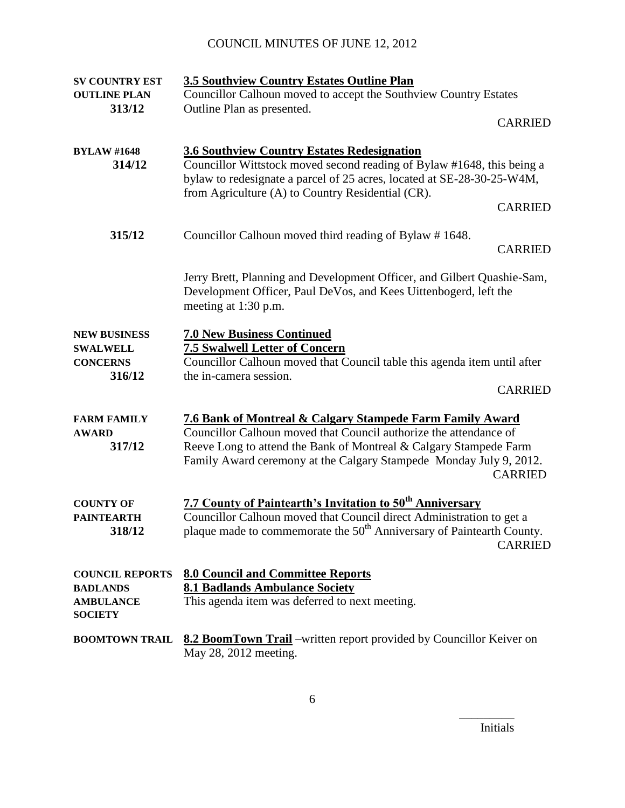| <b>SV COUNTRY EST</b>                                                           | <b>3.5 Southview Country Estates Outline Plan</b>                                                                                                                                                                                                                                           |
|---------------------------------------------------------------------------------|---------------------------------------------------------------------------------------------------------------------------------------------------------------------------------------------------------------------------------------------------------------------------------------------|
| <b>OUTLINE PLAN</b>                                                             | Councillor Calhoun moved to accept the Southview Country Estates                                                                                                                                                                                                                            |
| 313/12                                                                          | Outline Plan as presented.                                                                                                                                                                                                                                                                  |
|                                                                                 | <b>CARRIED</b>                                                                                                                                                                                                                                                                              |
| <b>BYLAW #1648</b><br>314/12                                                    | <b>3.6 Southview Country Estates Redesignation</b><br>Councillor Wittstock moved second reading of Bylaw #1648, this being a<br>bylaw to redesignate a parcel of 25 acres, located at SE-28-30-25-W4M,<br>from Agriculture (A) to Country Residential (CR).<br><b>CARRIED</b>               |
| 315/12                                                                          | Councillor Calhoun moved third reading of Bylaw #1648.<br><b>CARRIED</b>                                                                                                                                                                                                                    |
|                                                                                 | Jerry Brett, Planning and Development Officer, and Gilbert Quashie-Sam,<br>Development Officer, Paul DeVos, and Kees Uittenbogerd, left the<br>meeting at 1:30 p.m.                                                                                                                         |
| <b>NEW BUSINESS</b><br><b>SWALWELL</b><br><b>CONCERNS</b><br>316/12             | <b>7.0 New Business Continued</b><br><b>7.5 Swalwell Letter of Concern</b><br>Councillor Calhoun moved that Council table this agenda item until after<br>the in-camera session.<br><b>CARRIED</b>                                                                                          |
| <b>FARM FAMILY</b><br><b>AWARD</b><br>317/12                                    | 7.6 Bank of Montreal & Calgary Stampede Farm Family Award<br>Councillor Calhoun moved that Council authorize the attendance of<br>Reeve Long to attend the Bank of Montreal & Calgary Stampede Farm<br>Family Award ceremony at the Calgary Stampede Monday July 9, 2012.<br><b>CARRIED</b> |
| <b>COUNTY OF</b><br><b>PAINTEARTH</b><br>318/12                                 | 7.7 County of Paintearth's Invitation to 50 <sup>th</sup> Anniversary<br>Councillor Calhoun moved that Council direct Administration to get a<br>plaque made to commemorate the 50 <sup>th</sup> Anniversary of Paintearth County.<br><b>CARRIED</b>                                        |
| <b>COUNCIL REPORTS</b><br><b>BADLANDS</b><br><b>AMBULANCE</b><br><b>SOCIETY</b> | <b>8.0 Council and Committee Reports</b><br><b>8.1 Badlands Ambulance Society</b><br>This agenda item was deferred to next meeting.                                                                                                                                                         |
| <b>BOOMTOWN TRAIL</b>                                                           | 8.2 BoomTown Trail -written report provided by Councillor Keiver on<br>May 28, 2012 meeting.                                                                                                                                                                                                |